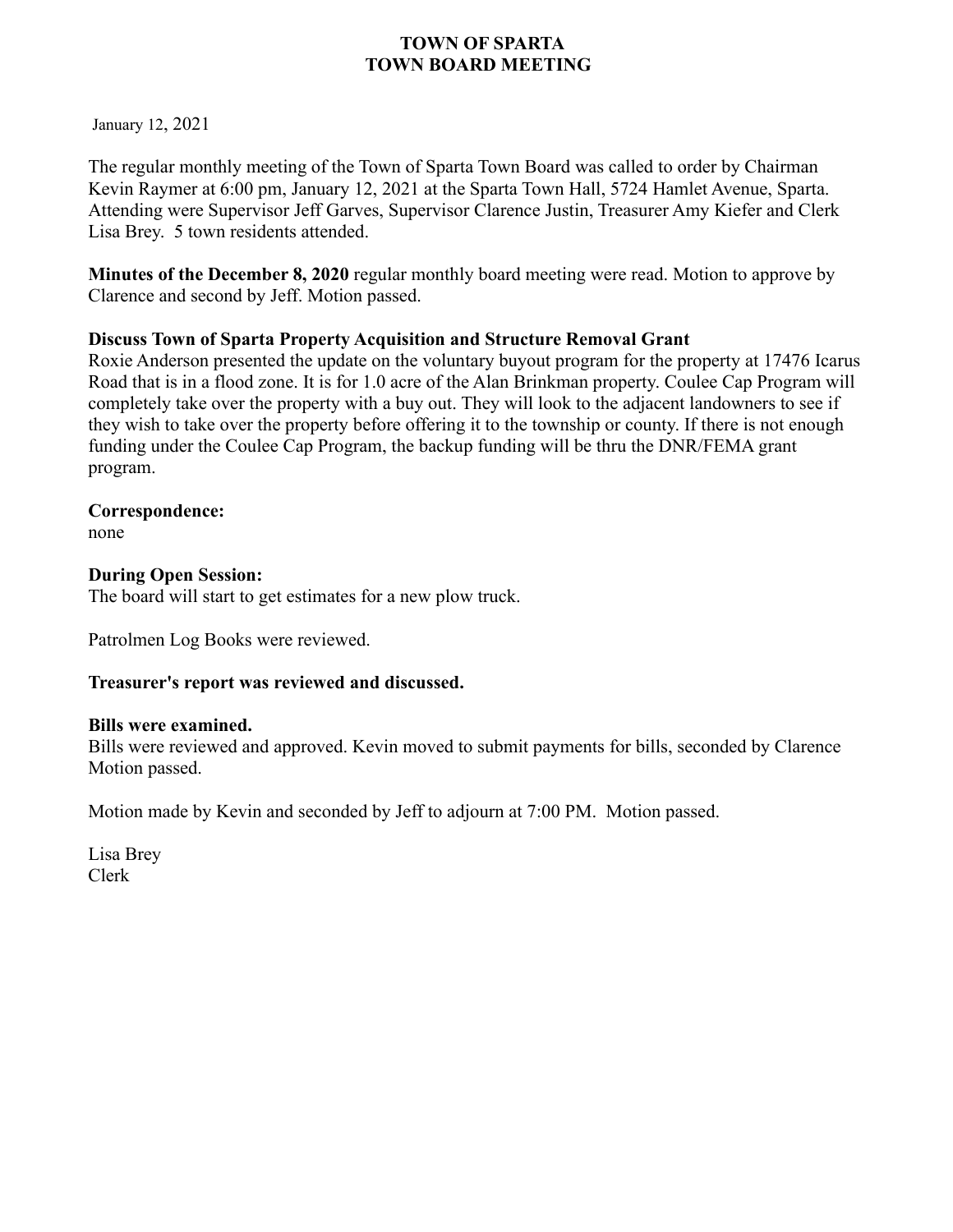January 12, 2021

The regular monthly meeting of the Town of Sparta Town Board was called to order by Chairman Kevin Raymer at 6:00 pm, January 12, 2021 at the Sparta Town Hall, 5724 Hamlet Avenue, Sparta. Attending were Supervisor Jeff Garves, Supervisor Clarence Justin, Treasurer Amy Kiefer and Clerk Lisa Brey. 5 town residents attended.

**Minutes of the December 8, 2020** regular monthly board meeting were read. Motion to approve by Clarence and second by Jeff. Motion passed.

## **Discuss Town of Sparta Property Acquisition and Structure Removal Grant**

Roxie Anderson presented the update on the voluntary buyout program for the property at 17476 Icarus Road that is in a flood zone. It is for 1.0 acre of the Alan Brinkman property. Coulee Cap Program will completely take over the property with a buy out. They will look to the adjacent landowners to see if they wish to take over the property before offering it to the township or county. If there is not enough funding under the Coulee Cap Program, the backup funding will be thru the DNR/FEMA grant program.

**Correspondence:** 

none

## **During Open Session:**

The board will start to get estimates for a new plow truck.

Patrolmen Log Books were reviewed.

## **Treasurer's report was reviewed and discussed.**

#### **Bills were examined.**

Bills were reviewed and approved. Kevin moved to submit payments for bills, seconded by Clarence Motion passed.

Motion made by Kevin and seconded by Jeff to adjourn at 7:00 PM. Motion passed.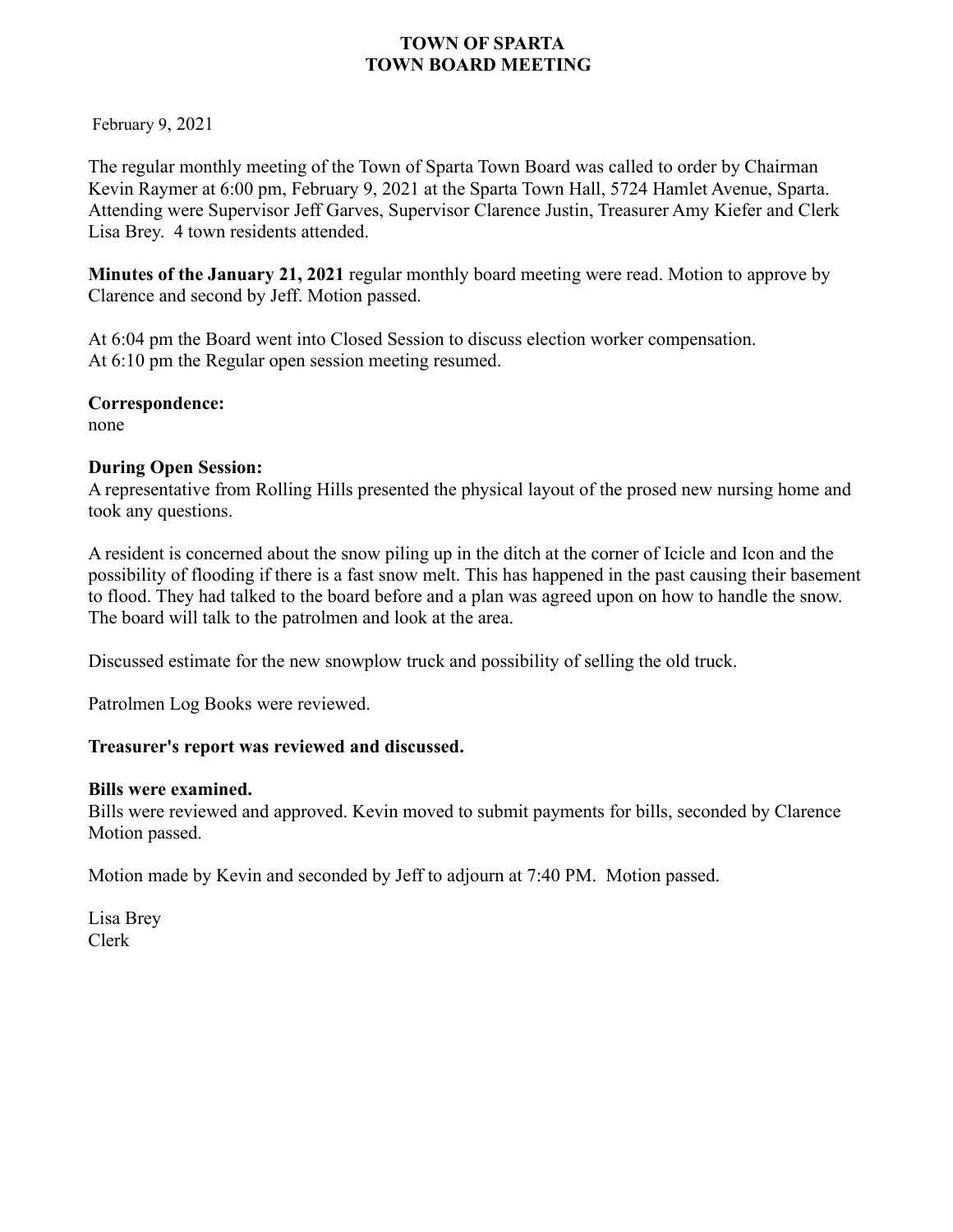February 9, 2021

The regular monthly meeting of the Town of Sparta Town Board was called to order by Chairman Kevin Raymer at 6:00 pm, February 9, 2021 at the Sparta Town Hall, 5724 Hamlet Avenue, Sparta. Attending were Supervisor Jeff Garves, Supervisor Clarence Justin, Treasurer Amy Kiefer and Clerk Lisa Brey. 4 town residents attended.

**Minutes of the January 21, 2021** regular monthly board meeting were read. Motion to approve by Clarence and second by Jeff. Motion passed.

At 6:04 pm the Board went into Closed Session to discuss election worker compensation. At 6:10 pm the Regular open session meeting resumed.

#### **Correspondence:**

none

#### **During Open Session:**

A representative from Rolling Hills presented the physical layout of the prosed new nursing home and took any questions.

A resident is concerned about the snow piling up in the ditch at the corner of Icicle and Icon and the possibility of flooding if there is a fast snow melt. This has happened in the past causing their basement to flood. They had talked to the board before and a plan was agreed upon on how to handle the snow. The board will talk to the patrolmen and look at the area.

Discussed estimate for the new snowplow truck and possibility of selling the old truck.

Patrolmen Log Books were reviewed.

## **Treasurer's report was reviewed and discussed.**

#### **Bills were examined.**

Bills were reviewed and approved. Kevin moved to submit payments for bills, seconded by Clarence Motion passed.

Motion made by Kevin and seconded by Jeff to adjourn at 7:40 PM. Motion passed.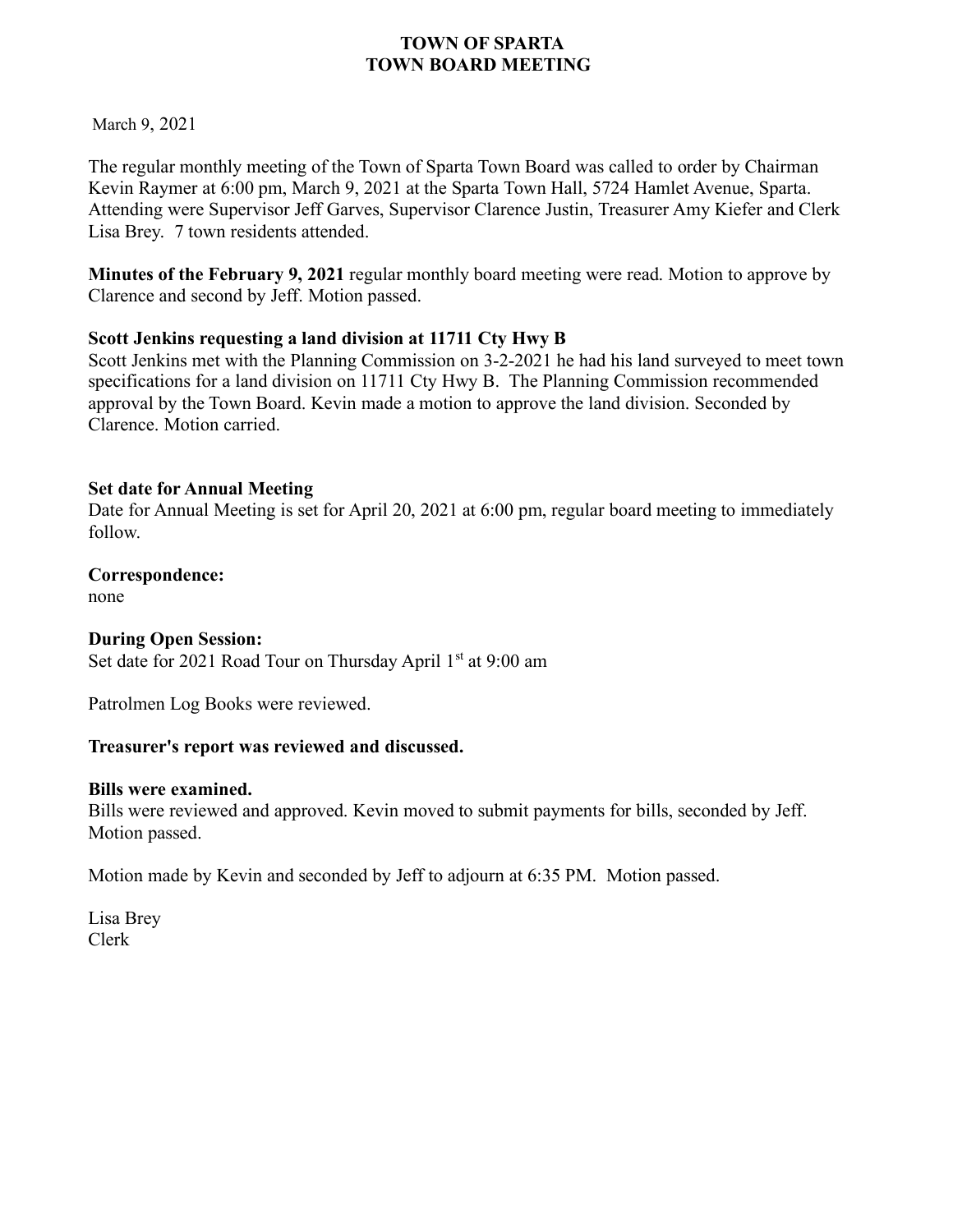March 9, 2021

The regular monthly meeting of the Town of Sparta Town Board was called to order by Chairman Kevin Raymer at 6:00 pm, March 9, 2021 at the Sparta Town Hall, 5724 Hamlet Avenue, Sparta. Attending were Supervisor Jeff Garves, Supervisor Clarence Justin, Treasurer Amy Kiefer and Clerk Lisa Brey. 7 town residents attended.

**Minutes of the February 9, 2021** regular monthly board meeting were read. Motion to approve by Clarence and second by Jeff. Motion passed.

## **Scott Jenkins requesting a land division at 11711 Cty Hwy B**

Scott Jenkins met with the Planning Commission on 3-2-2021 he had his land surveyed to meet town specifications for a land division on 11711 Cty Hwy B. The Planning Commission recommended approval by the Town Board. Kevin made a motion to approve the land division. Seconded by Clarence. Motion carried.

## **Set date for Annual Meeting**

Date for Annual Meeting is set for April 20, 2021 at 6:00 pm, regular board meeting to immediately follow.

## **Correspondence:**

none

## **During Open Session:**

Set date for 2021 Road Tour on Thursday April 1<sup>st</sup> at 9:00 am

Patrolmen Log Books were reviewed.

## **Treasurer's report was reviewed and discussed.**

## **Bills were examined.**

Bills were reviewed and approved. Kevin moved to submit payments for bills, seconded by Jeff. Motion passed.

Motion made by Kevin and seconded by Jeff to adjourn at 6:35 PM. Motion passed.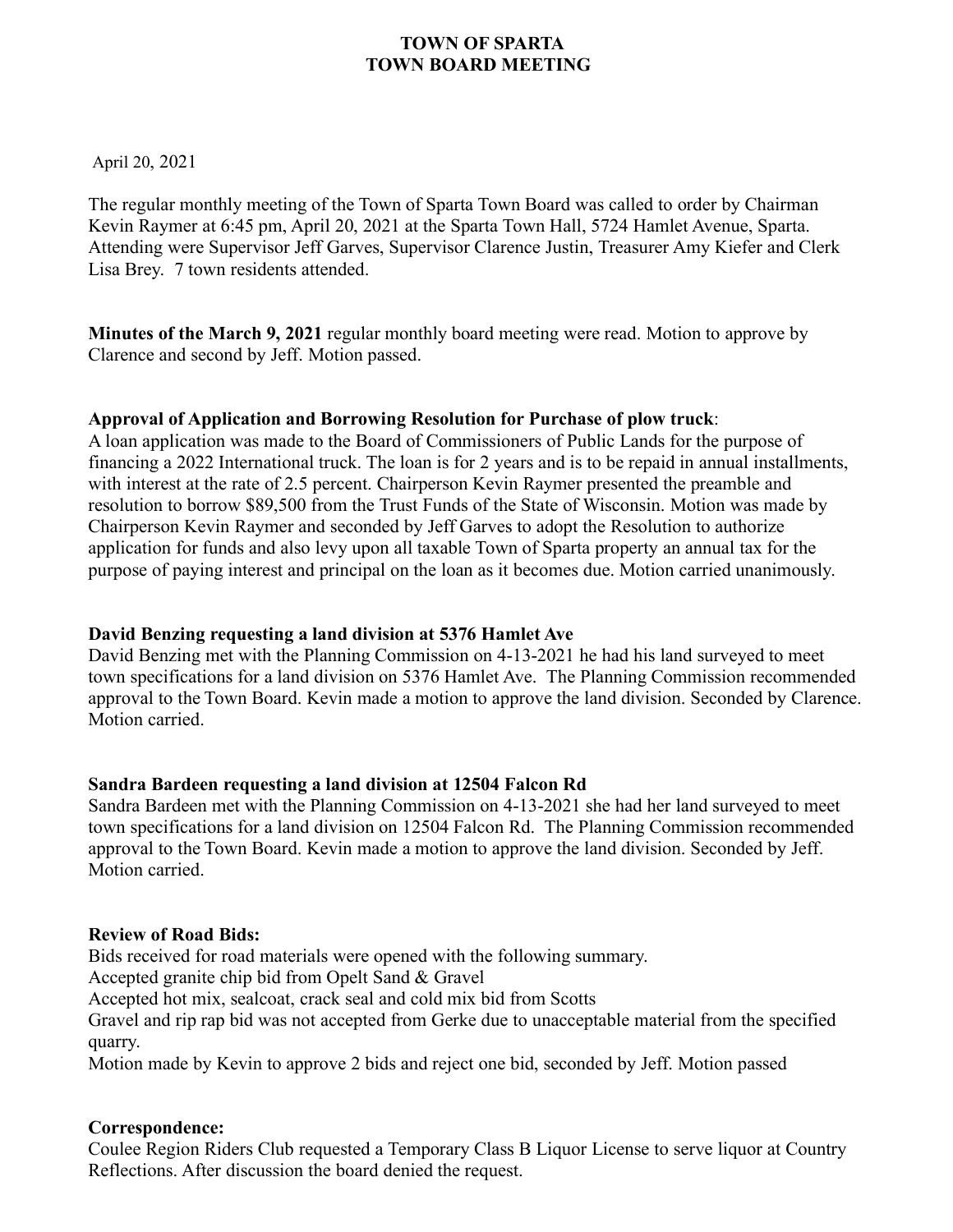April 20, 2021

The regular monthly meeting of the Town of Sparta Town Board was called to order by Chairman Kevin Raymer at 6:45 pm, April 20, 2021 at the Sparta Town Hall, 5724 Hamlet Avenue, Sparta. Attending were Supervisor Jeff Garves, Supervisor Clarence Justin, Treasurer Amy Kiefer and Clerk Lisa Brey. 7 town residents attended.

**Minutes of the March 9, 2021** regular monthly board meeting were read. Motion to approve by Clarence and second by Jeff. Motion passed.

## **Approval of Application and Borrowing Resolution for Purchase of plow truck**:

A loan application was made to the Board of Commissioners of Public Lands for the purpose of financing a 2022 International truck. The loan is for 2 years and is to be repaid in annual installments, with interest at the rate of 2.5 percent. Chairperson Kevin Raymer presented the preamble and resolution to borrow \$89,500 from the Trust Funds of the State of Wisconsin. Motion was made by Chairperson Kevin Raymer and seconded by Jeff Garves to adopt the Resolution to authorize application for funds and also levy upon all taxable Town of Sparta property an annual tax for the purpose of paying interest and principal on the loan as it becomes due. Motion carried unanimously.

## **David Benzing requesting a land division at 5376 Hamlet Ave**

David Benzing met with the Planning Commission on 4-13-2021 he had his land surveyed to meet town specifications for a land division on 5376 Hamlet Ave. The Planning Commission recommended approval to the Town Board. Kevin made a motion to approve the land division. Seconded by Clarence. Motion carried.

## **Sandra Bardeen requesting a land division at 12504 Falcon Rd**

Sandra Bardeen met with the Planning Commission on 4-13-2021 she had her land surveyed to meet town specifications for a land division on 12504 Falcon Rd. The Planning Commission recommended approval to the Town Board. Kevin made a motion to approve the land division. Seconded by Jeff. Motion carried.

## **Review of Road Bids:**

Bids received for road materials were opened with the following summary.

Accepted granite chip bid from Opelt Sand & Gravel

Accepted hot mix, sealcoat, crack seal and cold mix bid from Scotts

Gravel and rip rap bid was not accepted from Gerke due to unacceptable material from the specified quarry.

Motion made by Kevin to approve 2 bids and reject one bid, seconded by Jeff. Motion passed

## **Correspondence:**

Coulee Region Riders Club requested a Temporary Class B Liquor License to serve liquor at Country Reflections. After discussion the board denied the request.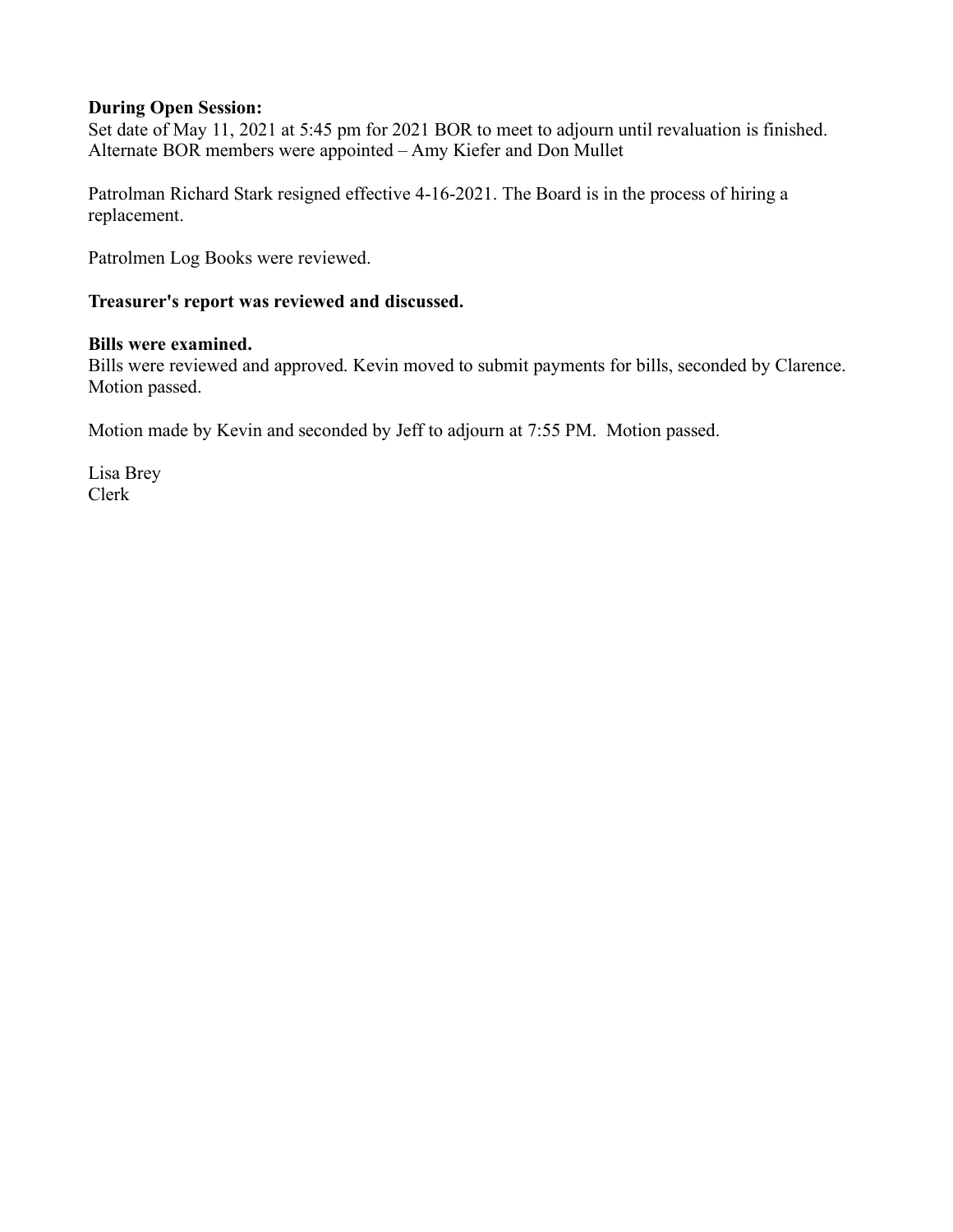#### **During Open Session:**

Set date of May 11, 2021 at 5:45 pm for 2021 BOR to meet to adjourn until revaluation is finished. Alternate BOR members were appointed – Amy Kiefer and Don Mullet

Patrolman Richard Stark resigned effective 4-16-2021. The Board is in the process of hiring a replacement.

Patrolmen Log Books were reviewed.

#### **Treasurer's report was reviewed and discussed.**

#### **Bills were examined.**

Bills were reviewed and approved. Kevin moved to submit payments for bills, seconded by Clarence. Motion passed.

Motion made by Kevin and seconded by Jeff to adjourn at 7:55 PM. Motion passed.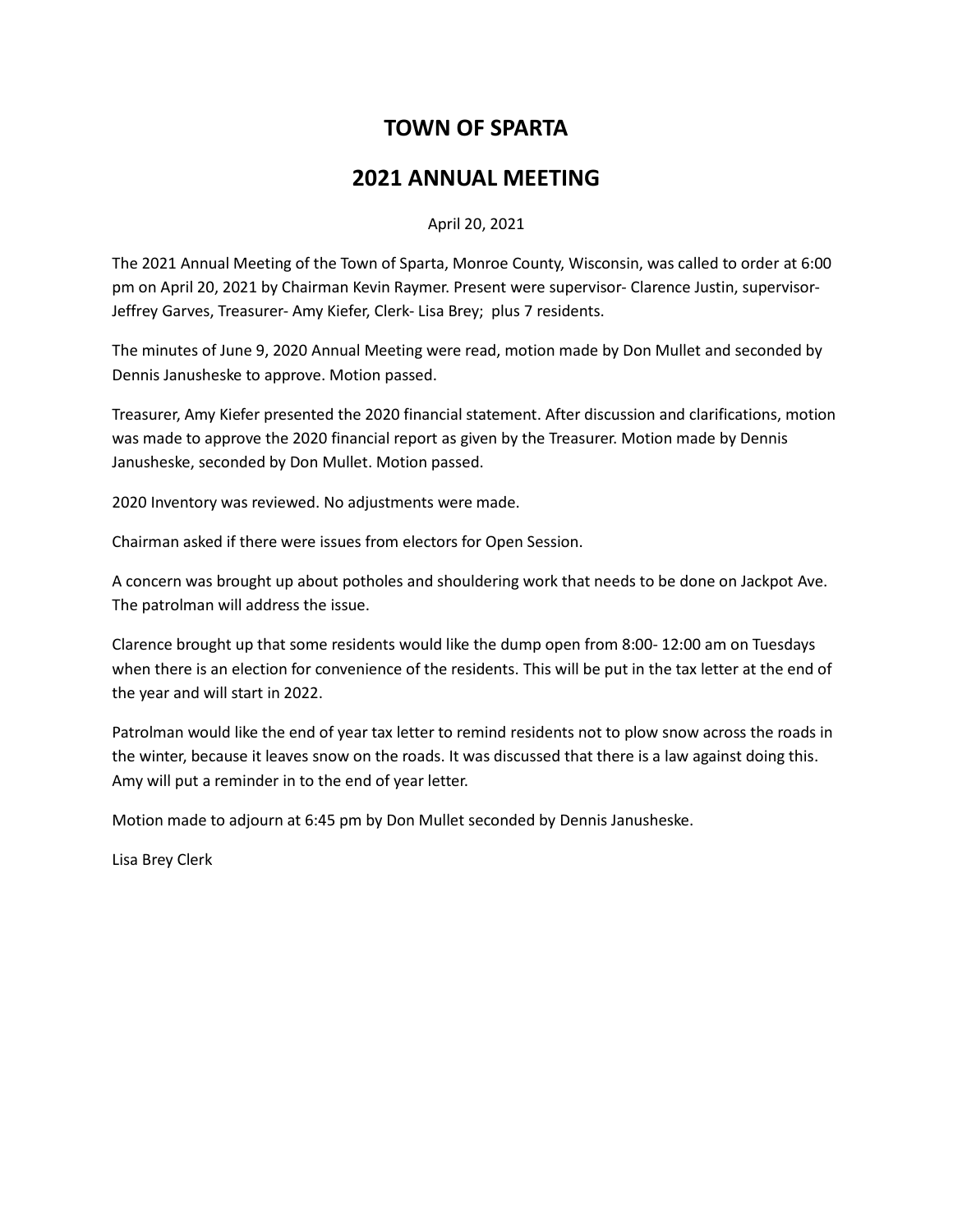# **TOWN OF SPARTA**

## **2021 ANNUAL MEETING**

#### April 20, 2021

The 2021 Annual Meeting of the Town of Sparta, Monroe County, Wisconsin, was called to order at 6:00 pm on April 20, 2021 by Chairman Kevin Raymer. Present were supervisor- Clarence Justin, supervisor-Jeffrey Garves, Treasurer- Amy Kiefer, Clerk- Lisa Brey; plus 7 residents.

The minutes of June 9, 2020 Annual Meeting were read, motion made by Don Mullet and seconded by Dennis Janusheske to approve. Motion passed.

Treasurer, Amy Kiefer presented the 2020 financial statement. After discussion and clarifications, motion was made to approve the 2020 financial report as given by the Treasurer. Motion made by Dennis Janusheske, seconded by Don Mullet. Motion passed.

2020 Inventory was reviewed. No adjustments were made.

Chairman asked if there were issues from electors for Open Session.

A concern was brought up about potholes and shouldering work that needs to be done on Jackpot Ave. The patrolman will address the issue.

Clarence brought up that some residents would like the dump open from 8:00- 12:00 am on Tuesdays when there is an election for convenience of the residents. This will be put in the tax letter at the end of the year and will start in 2022.

Patrolman would like the end of year tax letter to remind residents not to plow snow across the roads in the winter, because it leaves snow on the roads. It was discussed that there is a law against doing this. Amy will put a reminder in to the end of year letter.

Motion made to adjourn at 6:45 pm by Don Mullet seconded by Dennis Janusheske.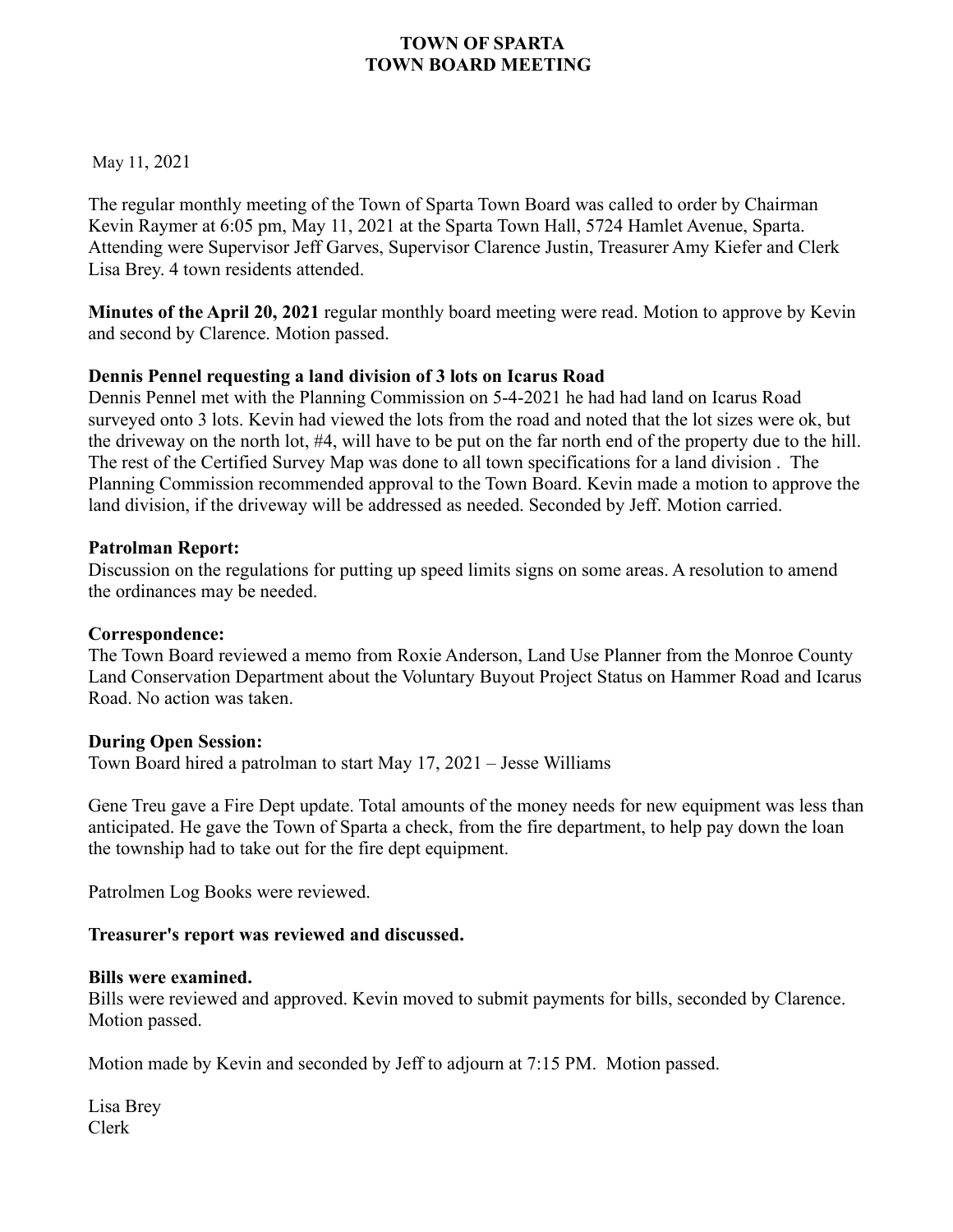May 11, 2021

The regular monthly meeting of the Town of Sparta Town Board was called to order by Chairman Kevin Raymer at 6:05 pm, May 11, 2021 at the Sparta Town Hall, 5724 Hamlet Avenue, Sparta. Attending were Supervisor Jeff Garves, Supervisor Clarence Justin, Treasurer Amy Kiefer and Clerk Lisa Brey. 4 town residents attended.

**Minutes of the April 20, 2021** regular monthly board meeting were read. Motion to approve by Kevin and second by Clarence. Motion passed.

## **Dennis Pennel requesting a land division of 3 lots on Icarus Road**

Dennis Pennel met with the Planning Commission on 5-4-2021 he had had land on Icarus Road surveyed onto 3 lots. Kevin had viewed the lots from the road and noted that the lot sizes were ok, but the driveway on the north lot, #4, will have to be put on the far north end of the property due to the hill. The rest of the Certified Survey Map was done to all town specifications for a land division . The Planning Commission recommended approval to the Town Board. Kevin made a motion to approve the land division, if the driveway will be addressed as needed. Seconded by Jeff. Motion carried.

#### **Patrolman Report:**

Discussion on the regulations for putting up speed limits signs on some areas. A resolution to amend the ordinances may be needed.

## **Correspondence:**

The Town Board reviewed a memo from Roxie Anderson, Land Use Planner from the Monroe County Land Conservation Department about the Voluntary Buyout Project Status on Hammer Road and Icarus Road. No action was taken.

## **During Open Session:**

Town Board hired a patrolman to start May 17, 2021 – Jesse Williams

Gene Treu gave a Fire Dept update. Total amounts of the money needs for new equipment was less than anticipated. He gave the Town of Sparta a check, from the fire department, to help pay down the loan the township had to take out for the fire dept equipment.

Patrolmen Log Books were reviewed.

## **Treasurer's report was reviewed and discussed.**

#### **Bills were examined.**

Bills were reviewed and approved. Kevin moved to submit payments for bills, seconded by Clarence. Motion passed.

Motion made by Kevin and seconded by Jeff to adjourn at 7:15 PM. Motion passed.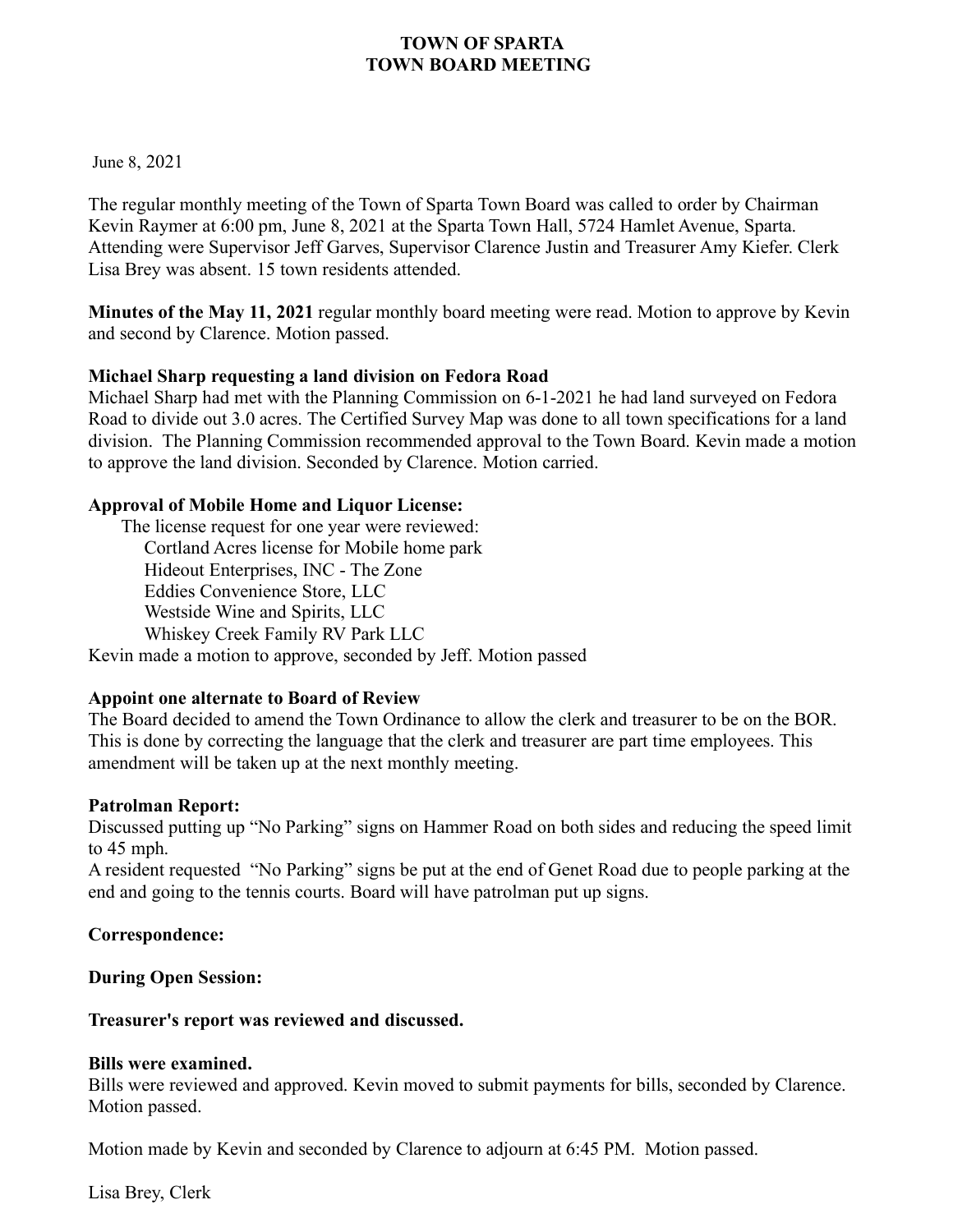June 8, 2021

The regular monthly meeting of the Town of Sparta Town Board was called to order by Chairman Kevin Raymer at 6:00 pm, June 8, 2021 at the Sparta Town Hall, 5724 Hamlet Avenue, Sparta. Attending were Supervisor Jeff Garves, Supervisor Clarence Justin and Treasurer Amy Kiefer. Clerk Lisa Brey was absent. 15 town residents attended.

**Minutes of the May 11, 2021** regular monthly board meeting were read. Motion to approve by Kevin and second by Clarence. Motion passed.

#### **Michael Sharp requesting a land division on Fedora Road**

Michael Sharp had met with the Planning Commission on 6-1-2021 he had land surveyed on Fedora Road to divide out 3.0 acres. The Certified Survey Map was done to all town specifications for a land division. The Planning Commission recommended approval to the Town Board. Kevin made a motion to approve the land division. Seconded by Clarence. Motion carried.

#### **Approval of Mobile Home and Liquor License:**

The license request for one year were reviewed: Cortland Acres license for Mobile home park Hideout Enterprises, INC - The Zone Eddies Convenience Store, LLC Westside Wine and Spirits, LLC Whiskey Creek Family RV Park LLC Kevin made a motion to approve, seconded by Jeff. Motion passed

## **Appoint one alternate to Board of Review**

The Board decided to amend the Town Ordinance to allow the clerk and treasurer to be on the BOR. This is done by correcting the language that the clerk and treasurer are part time employees. This amendment will be taken up at the next monthly meeting.

#### **Patrolman Report:**

Discussed putting up "No Parking" signs on Hammer Road on both sides and reducing the speed limit to 45 mph.

A resident requested "No Parking" signs be put at the end of Genet Road due to people parking at the end and going to the tennis courts. Board will have patrolman put up signs.

#### **Correspondence:**

**During Open Session:**

#### **Treasurer's report was reviewed and discussed.**

#### **Bills were examined.**

Bills were reviewed and approved. Kevin moved to submit payments for bills, seconded by Clarence. Motion passed.

Motion made by Kevin and seconded by Clarence to adjourn at 6:45 PM. Motion passed.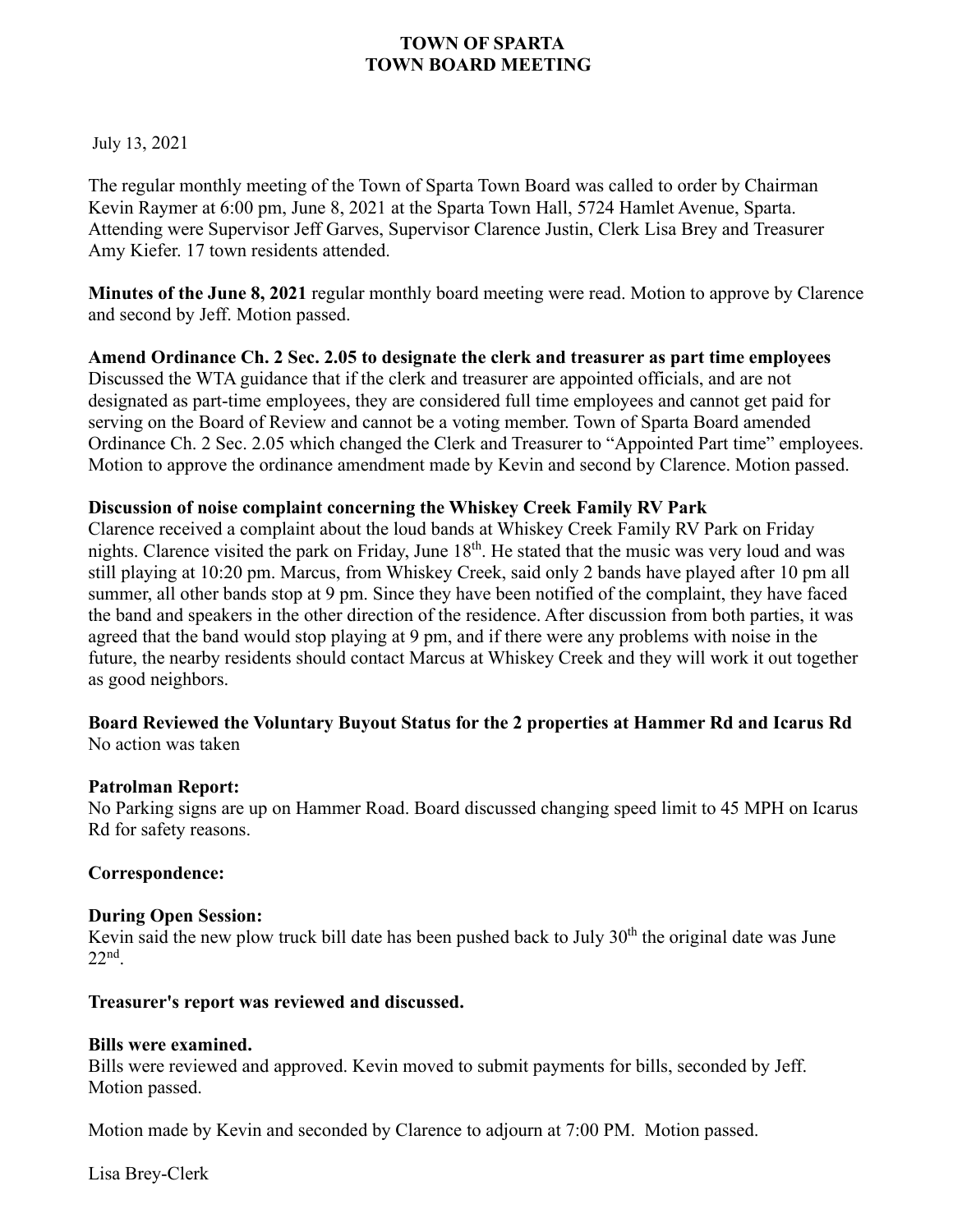#### July 13, 2021

The regular monthly meeting of the Town of Sparta Town Board was called to order by Chairman Kevin Raymer at 6:00 pm, June 8, 2021 at the Sparta Town Hall, 5724 Hamlet Avenue, Sparta. Attending were Supervisor Jeff Garves, Supervisor Clarence Justin, Clerk Lisa Brey and Treasurer Amy Kiefer. 17 town residents attended.

**Minutes of the June 8, 2021** regular monthly board meeting were read. Motion to approve by Clarence and second by Jeff. Motion passed.

**Amend Ordinance Ch. 2 Sec. 2.05 to designate the clerk and treasurer as part time employees** Discussed the WTA guidance that if the clerk and treasurer are appointed officials, and are not designated as part-time employees, they are considered full time employees and cannot get paid for serving on the Board of Review and cannot be a voting member. Town of Sparta Board amended Ordinance Ch. 2 Sec. 2.05 which changed the Clerk and Treasurer to "Appointed Part time" employees. Motion to approve the ordinance amendment made by Kevin and second by Clarence. Motion passed.

#### **Discussion of noise complaint concerning the Whiskey Creek Family RV Park**

Clarence received a complaint about the loud bands at Whiskey Creek Family RV Park on Friday nights. Clarence visited the park on Friday, June 18<sup>th</sup>. He stated that the music was very loud and was still playing at 10:20 pm. Marcus, from Whiskey Creek, said only 2 bands have played after 10 pm all summer, all other bands stop at 9 pm. Since they have been notified of the complaint, they have faced the band and speakers in the other direction of the residence. After discussion from both parties, it was agreed that the band would stop playing at 9 pm, and if there were any problems with noise in the future, the nearby residents should contact Marcus at Whiskey Creek and they will work it out together as good neighbors.

#### **Board Reviewed the Voluntary Buyout Status for the 2 properties at Hammer Rd and Icarus Rd** No action was taken

# **Patrolman Report:**

No Parking signs are up on Hammer Road. Board discussed changing speed limit to 45 MPH on Icarus Rd for safety reasons.

## **Correspondence:**

## **During Open Session:**

Kevin said the new plow truck bill date has been pushed back to July  $30<sup>th</sup>$  the original date was June 22nd .

#### **Treasurer's report was reviewed and discussed.**

#### **Bills were examined.**

Bills were reviewed and approved. Kevin moved to submit payments for bills, seconded by Jeff. Motion passed.

Motion made by Kevin and seconded by Clarence to adjourn at 7:00 PM. Motion passed.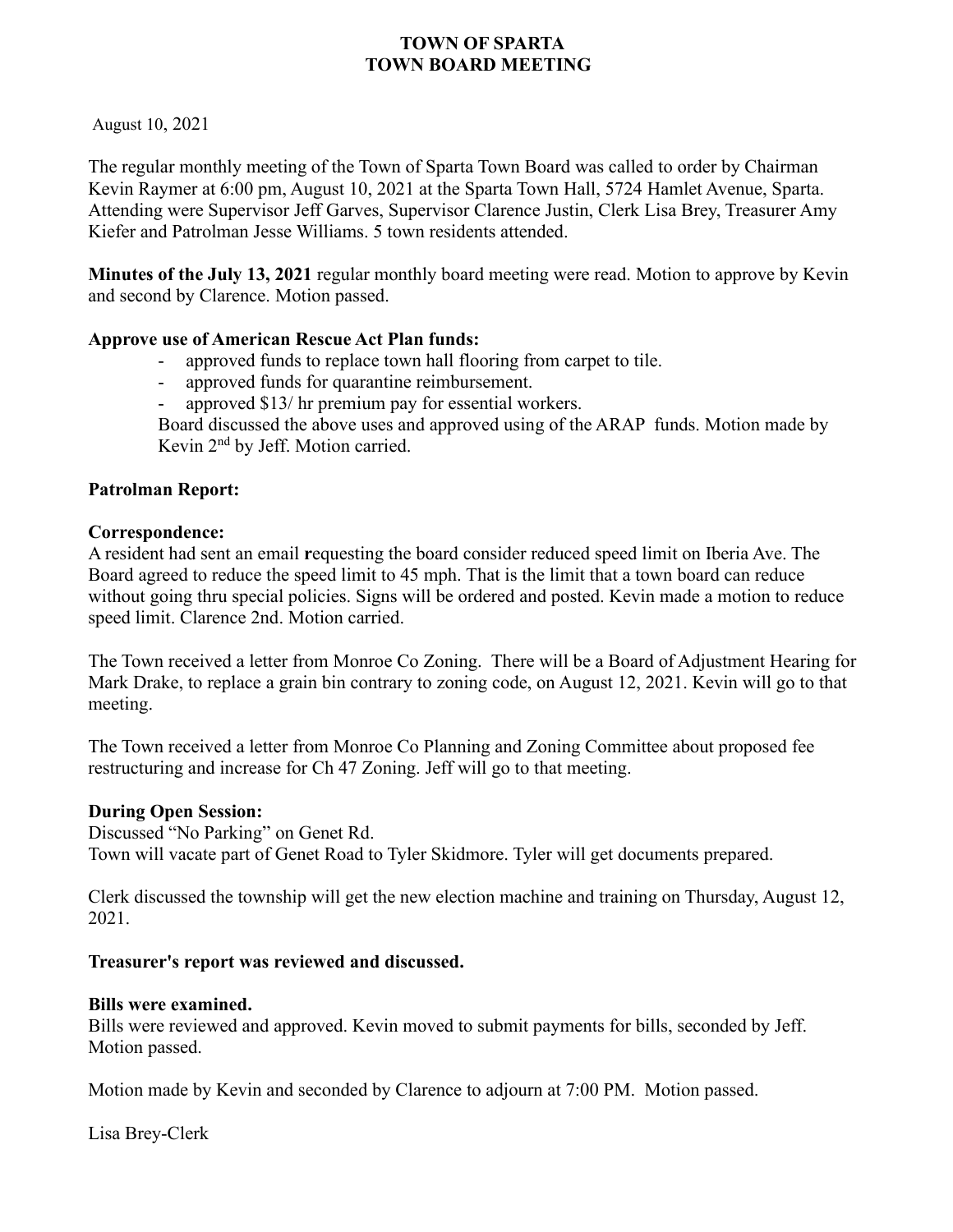August 10, 2021

The regular monthly meeting of the Town of Sparta Town Board was called to order by Chairman Kevin Raymer at 6:00 pm, August 10, 2021 at the Sparta Town Hall, 5724 Hamlet Avenue, Sparta. Attending were Supervisor Jeff Garves, Supervisor Clarence Justin, Clerk Lisa Brey, Treasurer Amy Kiefer and Patrolman Jesse Williams. 5 town residents attended.

**Minutes of the July 13, 2021** regular monthly board meeting were read. Motion to approve by Kevin and second by Clarence. Motion passed.

#### **Approve use of American Rescue Act Plan funds:**

- approved funds to replace town hall flooring from carpet to tile.
- approved funds for quarantine reimbursement.
- approved \$13/ hr premium pay for essential workers.

Board discussed the above uses and approved using of the ARAP funds. Motion made by Kevin 2nd by Jeff. Motion carried.

#### **Patrolman Report:**

#### **Correspondence:**

A resident had sent an email **r**equesting the board consider reduced speed limit on Iberia Ave. The Board agreed to reduce the speed limit to 45 mph. That is the limit that a town board can reduce without going thru special policies. Signs will be ordered and posted. Kevin made a motion to reduce speed limit. Clarence 2nd. Motion carried.

The Town received a letter from Monroe Co Zoning. There will be a Board of Adjustment Hearing for Mark Drake, to replace a grain bin contrary to zoning code, on August 12, 2021. Kevin will go to that meeting.

The Town received a letter from Monroe Co Planning and Zoning Committee about proposed fee restructuring and increase for Ch 47 Zoning. Jeff will go to that meeting.

#### **During Open Session:**

Discussed "No Parking" on Genet Rd. Town will vacate part of Genet Road to Tyler Skidmore. Tyler will get documents prepared.

Clerk discussed the township will get the new election machine and training on Thursday, August 12, 2021.

#### **Treasurer's report was reviewed and discussed.**

#### **Bills were examined.**

Bills were reviewed and approved. Kevin moved to submit payments for bills, seconded by Jeff. Motion passed.

Motion made by Kevin and seconded by Clarence to adjourn at 7:00 PM. Motion passed.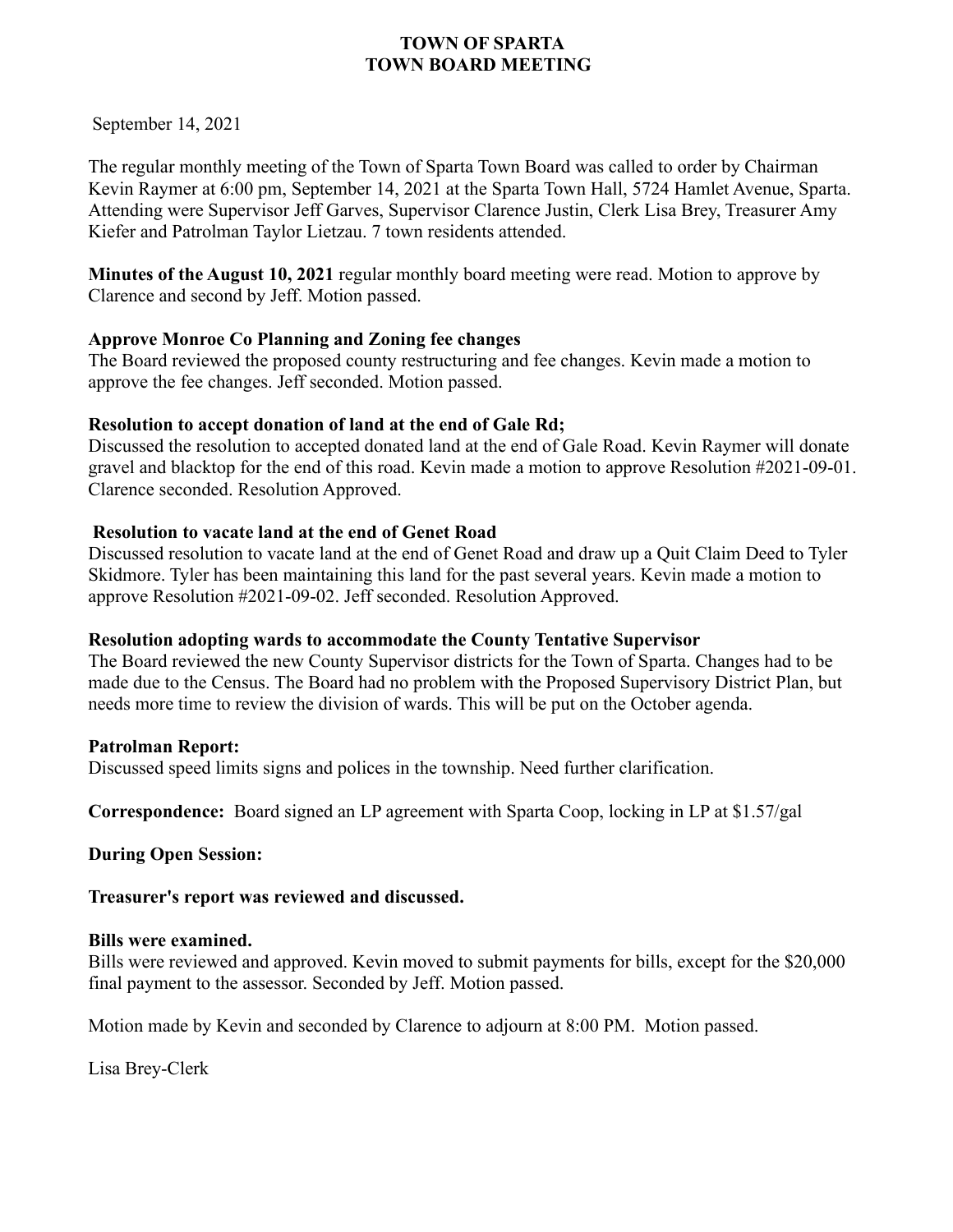September 14, 2021

The regular monthly meeting of the Town of Sparta Town Board was called to order by Chairman Kevin Raymer at 6:00 pm, September 14, 2021 at the Sparta Town Hall, 5724 Hamlet Avenue, Sparta. Attending were Supervisor Jeff Garves, Supervisor Clarence Justin, Clerk Lisa Brey, Treasurer Amy Kiefer and Patrolman Taylor Lietzau. 7 town residents attended.

**Minutes of the August 10, 2021** regular monthly board meeting were read. Motion to approve by Clarence and second by Jeff. Motion passed.

## **Approve Monroe Co Planning and Zoning fee changes**

The Board reviewed the proposed county restructuring and fee changes. Kevin made a motion to approve the fee changes. Jeff seconded. Motion passed.

## **Resolution to accept donation of land at the end of Gale Rd;**

Discussed the resolution to accepted donated land at the end of Gale Road. Kevin Raymer will donate gravel and blacktop for the end of this road. Kevin made a motion to approve Resolution #2021-09-01. Clarence seconded. Resolution Approved.

## **Resolution to vacate land at the end of Genet Road**

Discussed resolution to vacate land at the end of Genet Road and draw up a Quit Claim Deed to Tyler Skidmore. Tyler has been maintaining this land for the past several years. Kevin made a motion to approve Resolution #2021-09-02. Jeff seconded. Resolution Approved.

## **Resolution adopting wards to accommodate the County Tentative Supervisor**

The Board reviewed the new County Supervisor districts for the Town of Sparta. Changes had to be made due to the Census. The Board had no problem with the Proposed Supervisory District Plan, but needs more time to review the division of wards. This will be put on the October agenda.

#### **Patrolman Report:**

Discussed speed limits signs and polices in the township. Need further clarification.

**Correspondence:** Board signed an LP agreement with Sparta Coop, locking in LP at \$1.57/gal

**During Open Session:**

**Treasurer's report was reviewed and discussed.** 

#### **Bills were examined.**

Bills were reviewed and approved. Kevin moved to submit payments for bills, except for the \$20,000 final payment to the assessor. Seconded by Jeff. Motion passed.

Motion made by Kevin and seconded by Clarence to adjourn at 8:00 PM. Motion passed.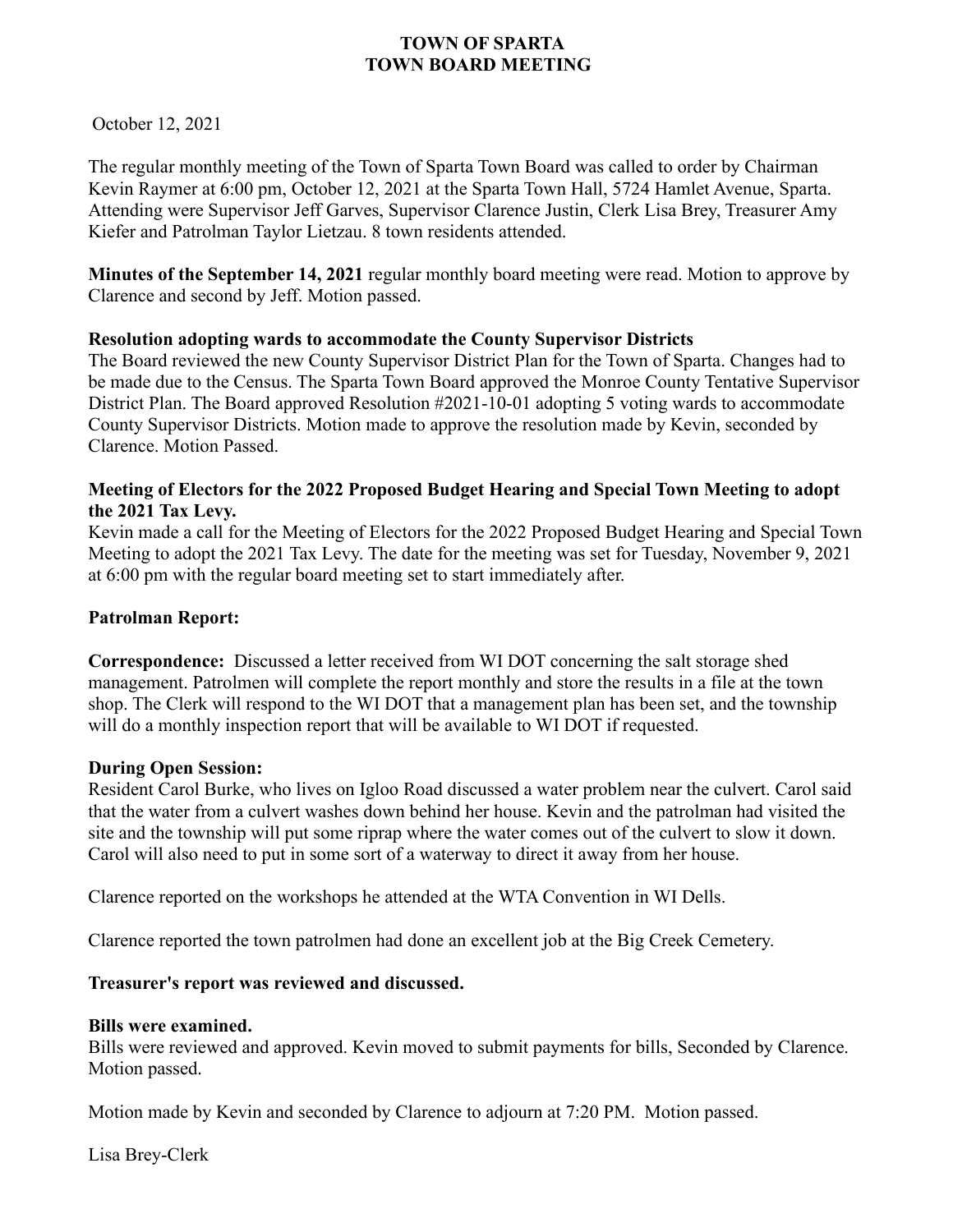October 12, 2021

The regular monthly meeting of the Town of Sparta Town Board was called to order by Chairman Kevin Raymer at 6:00 pm, October 12, 2021 at the Sparta Town Hall, 5724 Hamlet Avenue, Sparta. Attending were Supervisor Jeff Garves, Supervisor Clarence Justin, Clerk Lisa Brey, Treasurer Amy Kiefer and Patrolman Taylor Lietzau. 8 town residents attended.

**Minutes of the September 14, 2021** regular monthly board meeting were read. Motion to approve by Clarence and second by Jeff. Motion passed.

#### **Resolution adopting wards to accommodate the County Supervisor Districts**

The Board reviewed the new County Supervisor District Plan for the Town of Sparta. Changes had to be made due to the Census. The Sparta Town Board approved the Monroe County Tentative Supervisor District Plan. The Board approved Resolution #2021-10-01 adopting 5 voting wards to accommodate County Supervisor Districts. Motion made to approve the resolution made by Kevin, seconded by Clarence. Motion Passed.

#### **Meeting of Electors for the 2022 Proposed Budget Hearing and Special Town Meeting to adopt the 2021 Tax Levy.**

Kevin made a call for the Meeting of Electors for the 2022 Proposed Budget Hearing and Special Town Meeting to adopt the 2021 Tax Levy. The date for the meeting was set for Tuesday, November 9, 2021 at 6:00 pm with the regular board meeting set to start immediately after.

#### **Patrolman Report:**

**Correspondence:** Discussed a letter received from WI DOT concerning the salt storage shed management. Patrolmen will complete the report monthly and store the results in a file at the town shop. The Clerk will respond to the WI DOT that a management plan has been set, and the township will do a monthly inspection report that will be available to WI DOT if requested.

#### **During Open Session:**

Resident Carol Burke, who lives on Igloo Road discussed a water problem near the culvert. Carol said that the water from a culvert washes down behind her house. Kevin and the patrolman had visited the site and the township will put some riprap where the water comes out of the culvert to slow it down. Carol will also need to put in some sort of a waterway to direct it away from her house.

Clarence reported on the workshops he attended at the WTA Convention in WI Dells.

Clarence reported the town patrolmen had done an excellent job at the Big Creek Cemetery.

#### **Treasurer's report was reviewed and discussed.**

#### **Bills were examined.**

Bills were reviewed and approved. Kevin moved to submit payments for bills, Seconded by Clarence. Motion passed.

Motion made by Kevin and seconded by Clarence to adjourn at 7:20 PM. Motion passed.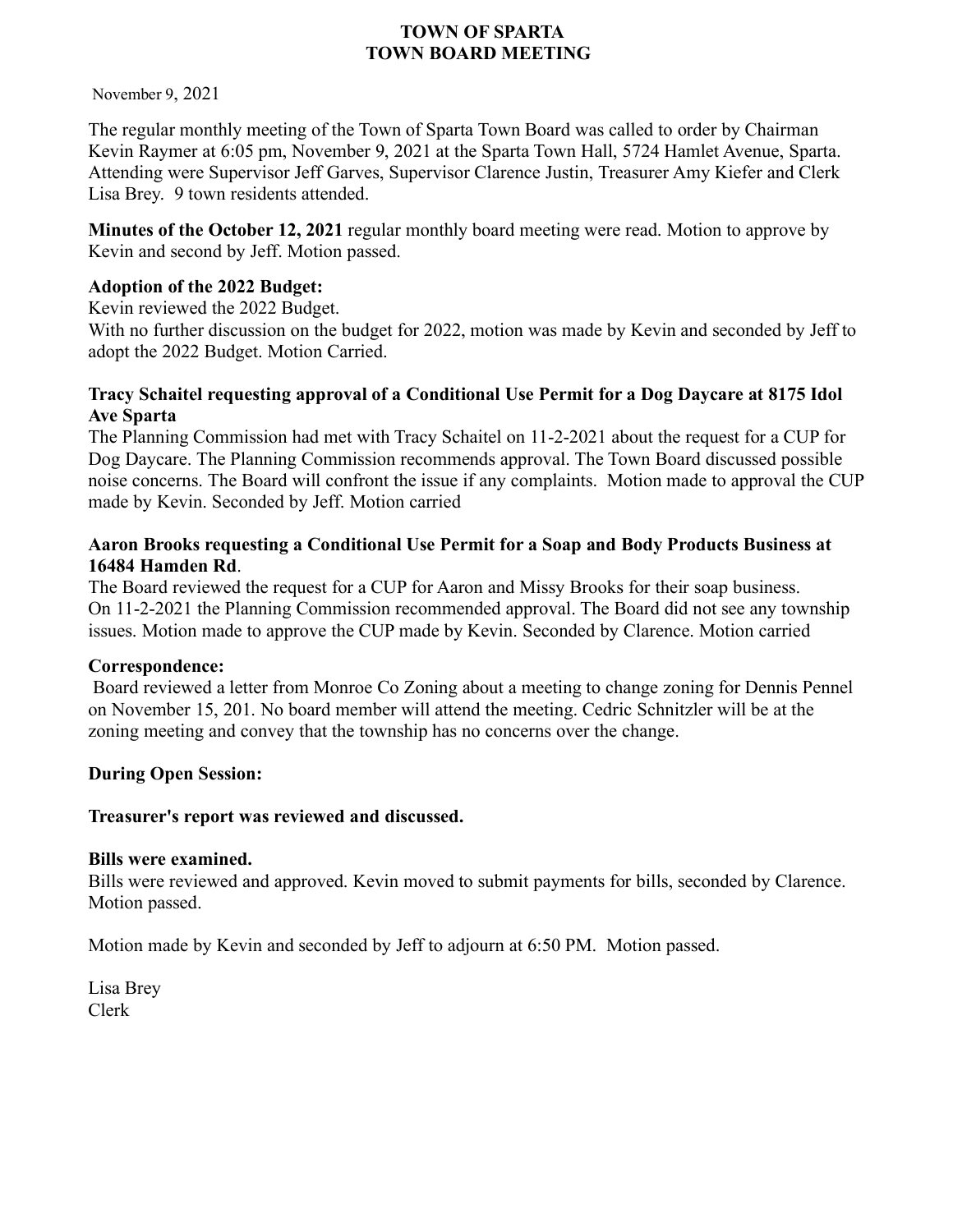November 9, 2021

The regular monthly meeting of the Town of Sparta Town Board was called to order by Chairman Kevin Raymer at 6:05 pm, November 9, 2021 at the Sparta Town Hall, 5724 Hamlet Avenue, Sparta. Attending were Supervisor Jeff Garves, Supervisor Clarence Justin, Treasurer Amy Kiefer and Clerk Lisa Brey. 9 town residents attended.

**Minutes of the October 12, 2021** regular monthly board meeting were read. Motion to approve by Kevin and second by Jeff. Motion passed.

## **Adoption of the 2022 Budget:**

Kevin reviewed the 2022 Budget.

With no further discussion on the budget for 2022, motion was made by Kevin and seconded by Jeff to adopt the 2022 Budget. Motion Carried.

#### **Tracy Schaitel requesting approval of a Conditional Use Permit for a Dog Daycare at 8175 Idol Ave Sparta**

The Planning Commission had met with Tracy Schaitel on 11-2-2021 about the request for a CUP for Dog Daycare. The Planning Commission recommends approval. The Town Board discussed possible noise concerns. The Board will confront the issue if any complaints. Motion made to approval the CUP made by Kevin. Seconded by Jeff. Motion carried

## **Aaron Brooks requesting a Conditional Use Permit for a Soap and Body Products Business at 16484 Hamden Rd**.

The Board reviewed the request for a CUP for Aaron and Missy Brooks for their soap business. On 11-2-2021 the Planning Commission recommended approval. The Board did not see any township issues. Motion made to approve the CUP made by Kevin. Seconded by Clarence. Motion carried

#### **Correspondence:**

Board reviewed a letter from Monroe Co Zoning about a meeting to change zoning for Dennis Pennel on November 15, 201. No board member will attend the meeting. Cedric Schnitzler will be at the zoning meeting and convey that the township has no concerns over the change.

## **During Open Session:**

#### **Treasurer's report was reviewed and discussed.**

#### **Bills were examined.**

Bills were reviewed and approved. Kevin moved to submit payments for bills, seconded by Clarence. Motion passed.

Motion made by Kevin and seconded by Jeff to adjourn at 6:50 PM. Motion passed.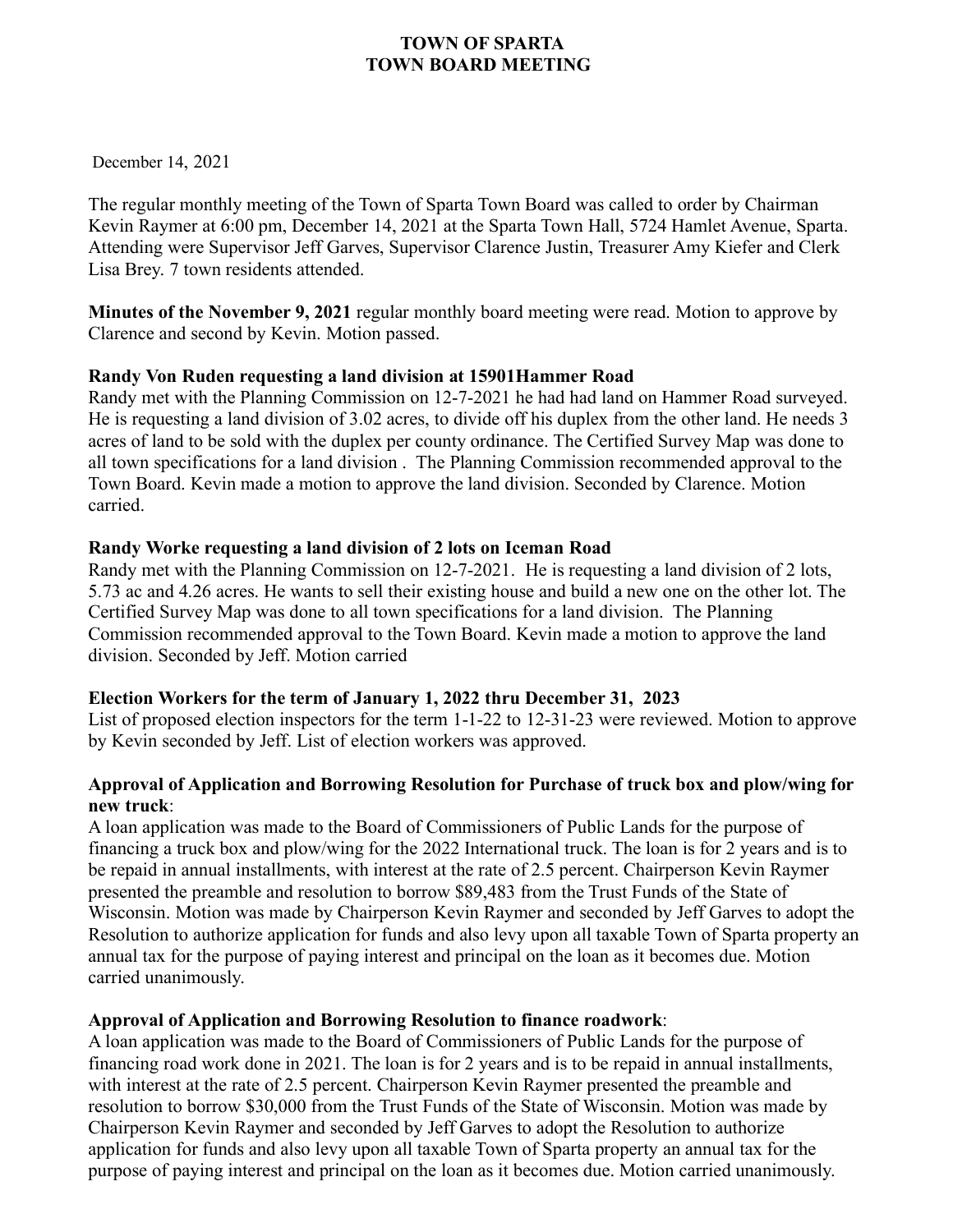December 14, 2021

The regular monthly meeting of the Town of Sparta Town Board was called to order by Chairman Kevin Raymer at 6:00 pm, December 14, 2021 at the Sparta Town Hall, 5724 Hamlet Avenue, Sparta. Attending were Supervisor Jeff Garves, Supervisor Clarence Justin, Treasurer Amy Kiefer and Clerk Lisa Brey. 7 town residents attended.

**Minutes of the November 9, 2021** regular monthly board meeting were read. Motion to approve by Clarence and second by Kevin. Motion passed.

## **Randy Von Ruden requesting a land division at 15901Hammer Road**

Randy met with the Planning Commission on 12-7-2021 he had had land on Hammer Road surveyed. He is requesting a land division of 3.02 acres, to divide off his duplex from the other land. He needs 3 acres of land to be sold with the duplex per county ordinance. The Certified Survey Map was done to all town specifications for a land division . The Planning Commission recommended approval to the Town Board. Kevin made a motion to approve the land division. Seconded by Clarence. Motion carried.

## **Randy Worke requesting a land division of 2 lots on Iceman Road**

Randy met with the Planning Commission on 12-7-2021. He is requesting a land division of 2 lots, 5.73 ac and 4.26 acres. He wants to sell their existing house and build a new one on the other lot. The Certified Survey Map was done to all town specifications for a land division. The Planning Commission recommended approval to the Town Board. Kevin made a motion to approve the land division. Seconded by Jeff. Motion carried

## **Election Workers for the term of January 1, 2022 thru December 31, 2023**

List of proposed election inspectors for the term 1-1-22 to 12-31-23 were reviewed. Motion to approve by Kevin seconded by Jeff. List of election workers was approved.

## **Approval of Application and Borrowing Resolution for Purchase of truck box and plow/wing for new truck**:

A loan application was made to the Board of Commissioners of Public Lands for the purpose of financing a truck box and plow/wing for the 2022 International truck. The loan is for 2 years and is to be repaid in annual installments, with interest at the rate of 2.5 percent. Chairperson Kevin Raymer presented the preamble and resolution to borrow \$89,483 from the Trust Funds of the State of Wisconsin. Motion was made by Chairperson Kevin Raymer and seconded by Jeff Garves to adopt the Resolution to authorize application for funds and also levy upon all taxable Town of Sparta property an annual tax for the purpose of paying interest and principal on the loan as it becomes due. Motion carried unanimously.

## **Approval of Application and Borrowing Resolution to finance roadwork**:

A loan application was made to the Board of Commissioners of Public Lands for the purpose of financing road work done in 2021. The loan is for 2 years and is to be repaid in annual installments, with interest at the rate of 2.5 percent. Chairperson Kevin Raymer presented the preamble and resolution to borrow \$30,000 from the Trust Funds of the State of Wisconsin. Motion was made by Chairperson Kevin Raymer and seconded by Jeff Garves to adopt the Resolution to authorize application for funds and also levy upon all taxable Town of Sparta property an annual tax for the purpose of paying interest and principal on the loan as it becomes due. Motion carried unanimously.